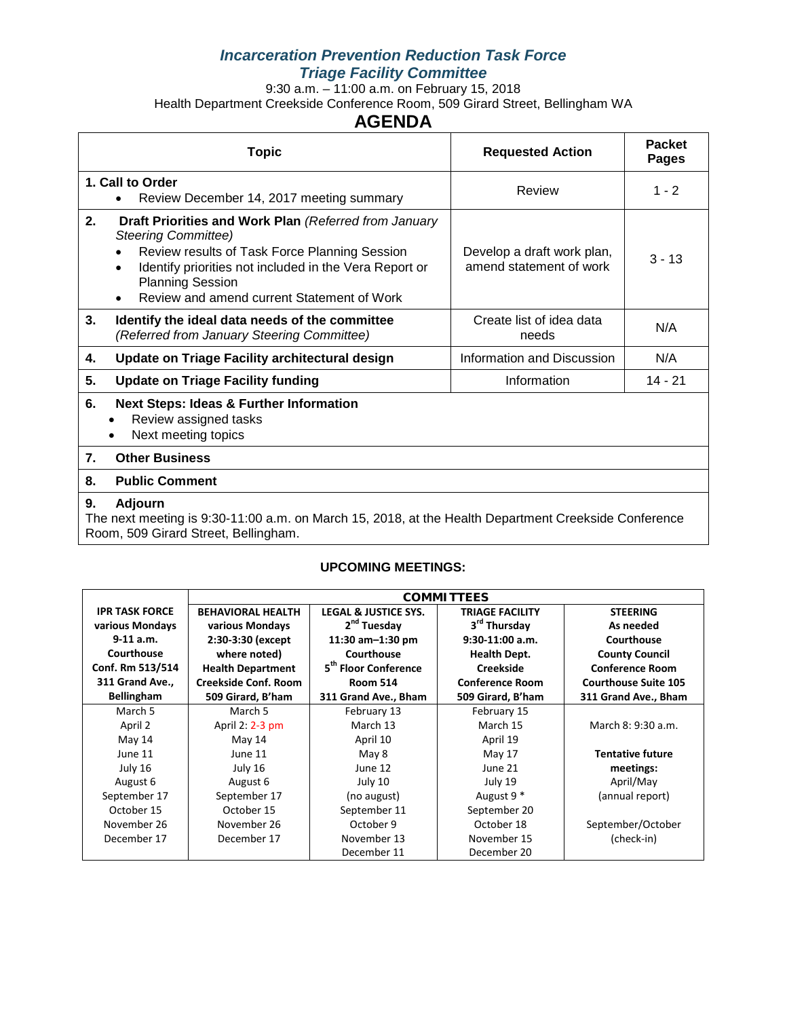### *Incarceration Prevention Reduction Task Force Triage Facility Committee*

9:30 a.m. – 11:00 a.m. on February 15, 2018 Health Department Creekside Conference Room, 509 Girard Street, Bellingham WA

## **AGENDA**

|    | Topic                                                                                                                                                                                                                                                                                             | <b>Requested Action</b>                               | <b>Packet</b><br><b>Pages</b> |  |  |  |  |
|----|---------------------------------------------------------------------------------------------------------------------------------------------------------------------------------------------------------------------------------------------------------------------------------------------------|-------------------------------------------------------|-------------------------------|--|--|--|--|
|    | 1. Call to Order<br>Review December 14, 2017 meeting summary                                                                                                                                                                                                                                      | Review                                                | $1 - 2$                       |  |  |  |  |
| 2. | Draft Priorities and Work Plan (Referred from January<br><b>Steering Committee)</b><br>Review results of Task Force Planning Session<br>Identify priorities not included in the Vera Report or<br>$\bullet$<br><b>Planning Session</b><br>Review and amend current Statement of Work<br>$\bullet$ | Develop a draft work plan,<br>amend statement of work | $3 - 13$                      |  |  |  |  |
| 3. | Identify the ideal data needs of the committee<br>(Referred from January Steering Committee)                                                                                                                                                                                                      | Create list of idea data<br>needs                     | N/A                           |  |  |  |  |
| 4. | Update on Triage Facility architectural design                                                                                                                                                                                                                                                    | Information and Discussion                            | N/A                           |  |  |  |  |
| 5. | <b>Update on Triage Facility funding</b>                                                                                                                                                                                                                                                          | Information                                           | 14 - 21                       |  |  |  |  |
| 6. | <b>Next Steps: Ideas &amp; Further Information</b><br>Review assigned tasks<br>Next meeting topics                                                                                                                                                                                                |                                                       |                               |  |  |  |  |
| 7. | <b>Other Business</b>                                                                                                                                                                                                                                                                             |                                                       |                               |  |  |  |  |
| 8. | <b>Public Comment</b>                                                                                                                                                                                                                                                                             |                                                       |                               |  |  |  |  |
| 9. | Adjourn<br>The next meeting is 9:30-11:00 a.m. on March 15, 2018, at the Health Department Creekside Conference                                                                                                                                                                                   |                                                       |                               |  |  |  |  |

The next meeting is 9:30-11:00 a.m. on March 15, 2018, at the Health Department Creekside Conference Room, 509 Girard Street, Bellingham.

#### **UPCOMING MEETINGS:**

|                       | <b>COMMITTEES</b>           |                                  |                          |                             |  |
|-----------------------|-----------------------------|----------------------------------|--------------------------|-----------------------------|--|
| <b>IPR TASK FORCE</b> | <b>BEHAVIORAL HEALTH</b>    | <b>LEGAL &amp; JUSTICE SYS.</b>  | <b>TRIAGE FACILITY</b>   | <b>STEERING</b>             |  |
| various Mondays       | various Mondays             | 2 <sup>nd</sup> Tuesday          | 3 <sup>rd</sup> Thursday | As needed                   |  |
| $9-11$ a.m.           | 2:30-3:30 (except           | 11:30 am $-1:30$ pm              | $9:30-11:00$ a.m.        | Courthouse                  |  |
| Courthouse            | where noted)                | Courthouse                       | <b>Health Dept.</b>      | <b>County Council</b>       |  |
| Conf. Rm 513/514      | <b>Health Department</b>    | 5 <sup>th</sup> Floor Conference | <b>Creekside</b>         | <b>Conference Room</b>      |  |
| 311 Grand Ave.,       | <b>Creekside Conf. Room</b> | <b>Room 514</b>                  | <b>Conference Room</b>   | <b>Courthouse Suite 105</b> |  |
| <b>Bellingham</b>     | 509 Girard, B'ham           | 311 Grand Ave., Bham             | 509 Girard, B'ham        | 311 Grand Ave., Bham        |  |
| March 5               | March 5                     | February 13                      | February 15              |                             |  |
| April 2               | April 2: 2-3 pm             | March 13                         | March 15                 | March 8: 9:30 a.m.          |  |
| May 14                | May 14                      | April 10                         | April 19                 |                             |  |
| June 11               | June 11                     | May 8                            | May 17                   | <b>Tentative future</b>     |  |
| July 16               | July 16                     | June 12                          | June 21                  | meetings:                   |  |
| August 6              | August 6                    | July 10                          | July 19                  | April/May                   |  |
| September 17          | September 17                | (no august)                      | August 9 <sup>*</sup>    | (annual report)             |  |
| October 15            | October 15                  | September 11                     | September 20             |                             |  |
| November 26           | November 26                 | October 9                        | October 18               | September/October           |  |
| December 17           | December 17                 | November 13                      | November 15              | (check-in)                  |  |
|                       |                             | December 11                      | December 20              |                             |  |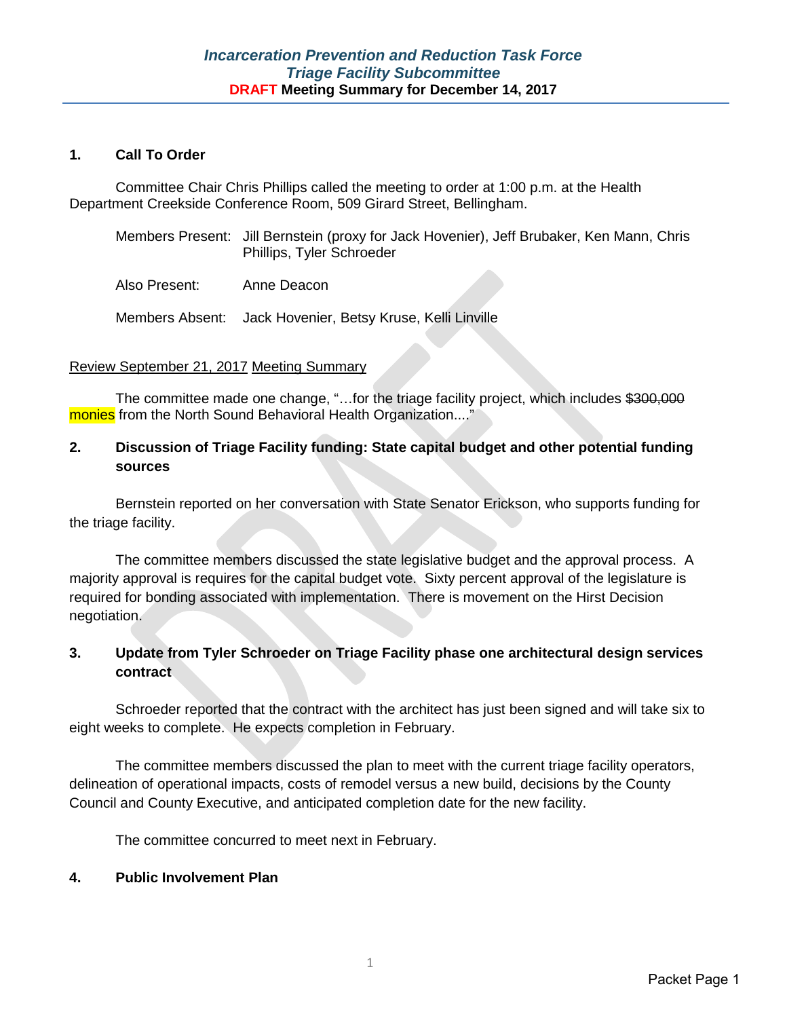#### **1. Call To Order**

Committee Chair Chris Phillips called the meeting to order at 1:00 p.m. at the Health Department Creekside Conference Room, 509 Girard Street, Bellingham.

| Members Present: Jill Bernstein (proxy for Jack Hovenier), Jeff Brubaker, Ken Mann, Chris |
|-------------------------------------------------------------------------------------------|
| Phillips, Tyler Schroeder                                                                 |

Also Present: Anne Deacon

Members Absent: Jack Hovenier, Betsy Kruse, Kelli Linville

#### Review September 21, 2017 Meeting Summary

The committee made one change, "...for the triage facility project, which includes \$300,000 monies from the North Sound Behavioral Health Organization...."

### **2. Discussion of Triage Facility funding: State capital budget and other potential funding sources**

Bernstein reported on her conversation with State Senator Erickson, who supports funding for the triage facility.

The committee members discussed the state legislative budget and the approval process. A majority approval is requires for the capital budget vote. Sixty percent approval of the legislature is required for bonding associated with implementation. There is movement on the Hirst Decision negotiation.

#### **3. Update from Tyler Schroeder on Triage Facility phase one architectural design services contract**

Schroeder reported that the contract with the architect has just been signed and will take six to eight weeks to complete. He expects completion in February.

The committee members discussed the plan to meet with the current triage facility operators, delineation of operational impacts, costs of remodel versus a new build, decisions by the County Council and County Executive, and anticipated completion date for the new facility.

The committee concurred to meet next in February.

#### **4. Public Involvement Plan**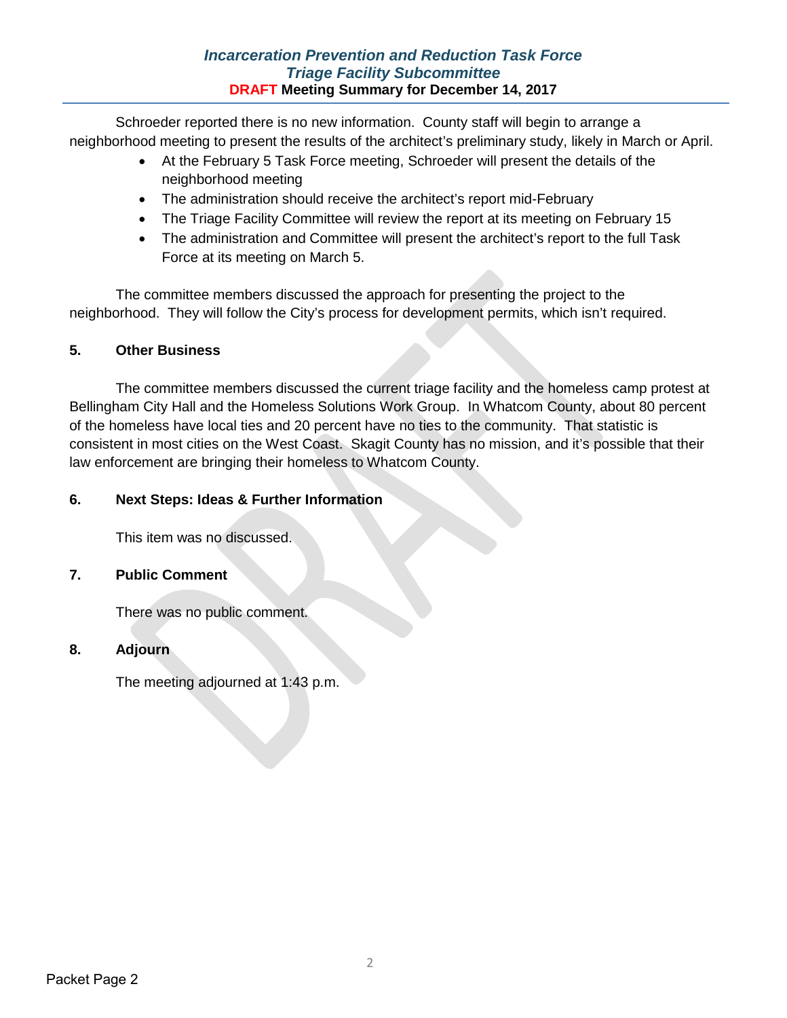Schroeder reported there is no new information. County staff will begin to arrange a neighborhood meeting to present the results of the architect's preliminary study, likely in March or April.

- At the February 5 Task Force meeting, Schroeder will present the details of the neighborhood meeting
- The administration should receive the architect's report mid-February
- The Triage Facility Committee will review the report at its meeting on February 15
- The administration and Committee will present the architect's report to the full Task Force at its meeting on March 5.

The committee members discussed the approach for presenting the project to the neighborhood. They will follow the City's process for development permits, which isn't required.

### **5. Other Business**

The committee members discussed the current triage facility and the homeless camp protest at Bellingham City Hall and the Homeless Solutions Work Group. In Whatcom County, about 80 percent of the homeless have local ties and 20 percent have no ties to the community. That statistic is consistent in most cities on the West Coast. Skagit County has no mission, and it's possible that their law enforcement are bringing their homeless to Whatcom County.

#### **6. Next Steps: Ideas & Further Information**

This item was no discussed.

#### **7. Public Comment**

There was no public comment.

### **8. Adjourn**

The meeting adjourned at 1:43 p.m.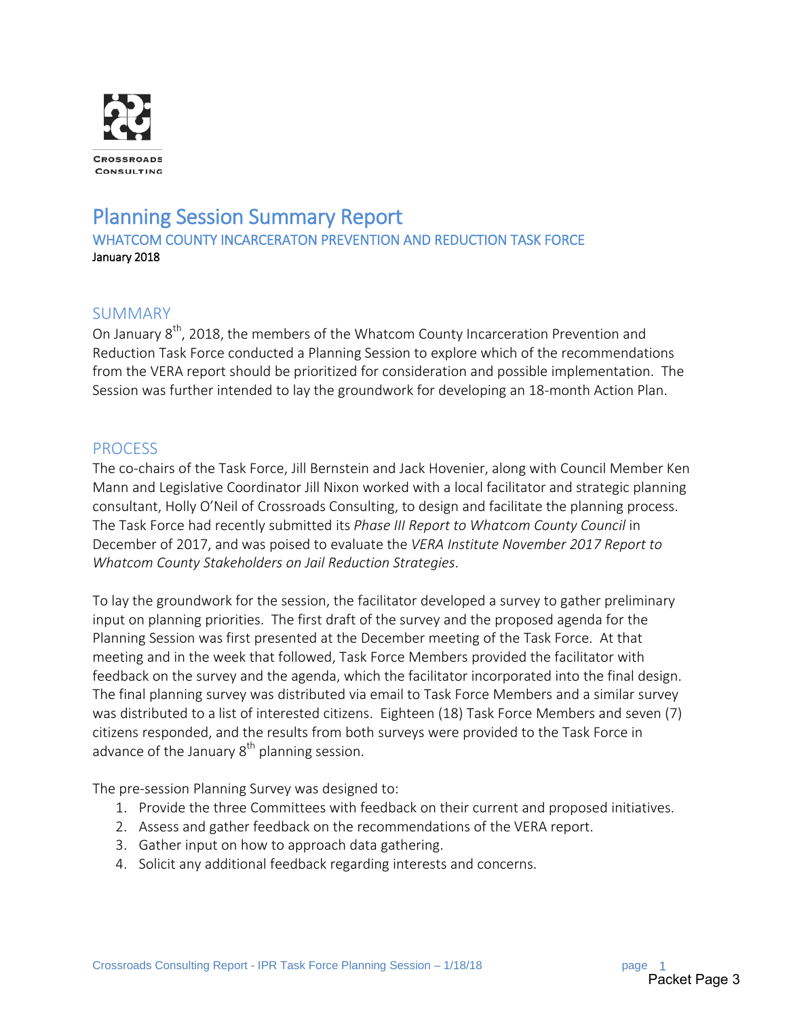

# Planning Session Summary Report<br>WHATCOM COUNTY INCARCERATON PREVENTION AND REDUCTION TASK FORCE January 2018

## SUMMARY

On January 8<sup>th</sup>, 2018, the members of the Whatcom County Incarceration Prevention and Reduction Task Force conducted a Planning Session to explore which of the recommendations from the VERA report should be prioritized for consideration and possible implementation. The Session was further intended to lay the groundwork for developing an 18-month Action Plan.

### PROCESS

The co-chairs of the Task Force, Jill Bernstein and Jack Hovenier, along with Council Member Ken Mann and Legislative Coordinator Jill Nixon worked with a local facilitator and strategic planning consultant, Holly O'Neil of Crossroads Consulting, to design and facilitate the planning process. The Task Force had recently submitted its *Phase III Report to Whatcom County Council* in December of 2017, and was poised to evaluate the *VERA Institute November 2017 Report to Whatcom County Stakeholders on Jail Reduction Strategies*.

To lay the groundwork for the session, the facilitator developed a survey to gather preliminary input on planning priorities. The first draft of the survey and the proposed agenda for the Planning Session was first presented at the December meeting of the Task Force. At that meeting and in the week that followed, Task Force Members provided the facilitator with feedback on the survey and the agenda, which the facilitator incorporated into the final design. The final planning survey was distributed via email to Task Force Members and a similar survey was distributed to a list of interested citizens. Eighteen (18) Task Force Members and seven (7) citizens responded, and the results from both surveys were provided to the Task Force in advance of the January  $8<sup>th</sup>$  planning session.

The pre-session Planning Survey was designed to:

- 1. Provide the three Committees with feedback on their current and proposed initiatives.
- 2. Assess and gather feedback on the recommendations of the VERA report.
- 3. Gather input on how to approach data gathering.
- 4. Solicit any additional feedback regarding interests and concerns.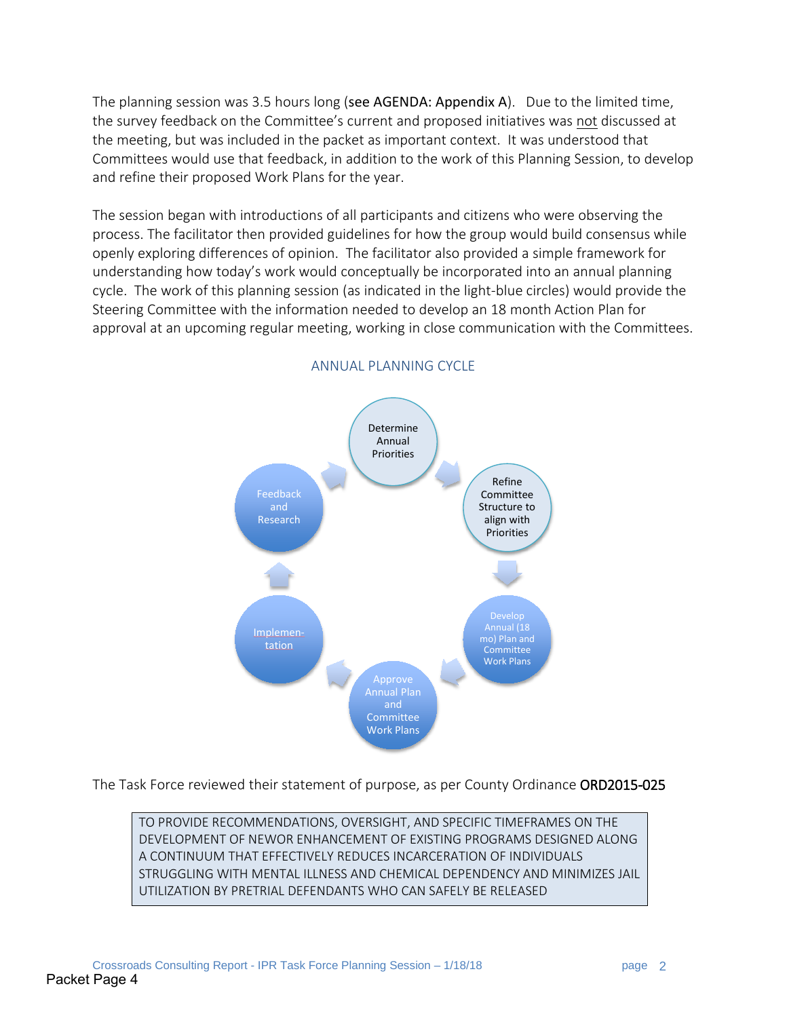The planning session was 3.5 hours long (see AGENDA: Appendix A). Due to the limited time, the survey feedback on the Committee's current and proposed initiatives was not discussed at the meeting, but was included in the packet as important context. It was understood that Committees would use that feedback, in addition to the work of this Planning Session, to develop and refine their proposed Work Plans for the year.

The session began with introductions of all participants and citizens who were observing the process. The facilitator then provided guidelines for how the group would build consensus while openly exploring differences of opinion. The facilitator also provided a simple framework for understanding how today's work would conceptually be incorporated into an annual planning cycle. The work of this planning session (as indicated in the light-blue circles) would provide the Steering Committee with the information needed to develop an 18 month Action Plan for approval at an upcoming regular meeting, working in close communication with the Committees.



#### ANNUAL PLANNING CYCLE

The Task Force reviewed their statement of purpose, as per County Ordinance ORD2015-025

TO PROVIDE RECOMMENDATIONS, OVERSIGHT, AND SPECIFIC TIMEFRAMES ON THE DEVELOPMENT OF NEWOR ENHANCEMENT OF EXISTING PROGRAMS DESIGNED ALONG A CONTINUUM THAT EFFECTIVELY REDUCES INCARCERATION OF INDIVIDUALS STRUGGLING WITH MENTAL ILLNESS AND CHEMICAL DEPENDENCY AND MINIMIZES JAIL UTILIZATION BY PRETRIAL DEFENDANTS WHO CAN SAFELY BE RELEASED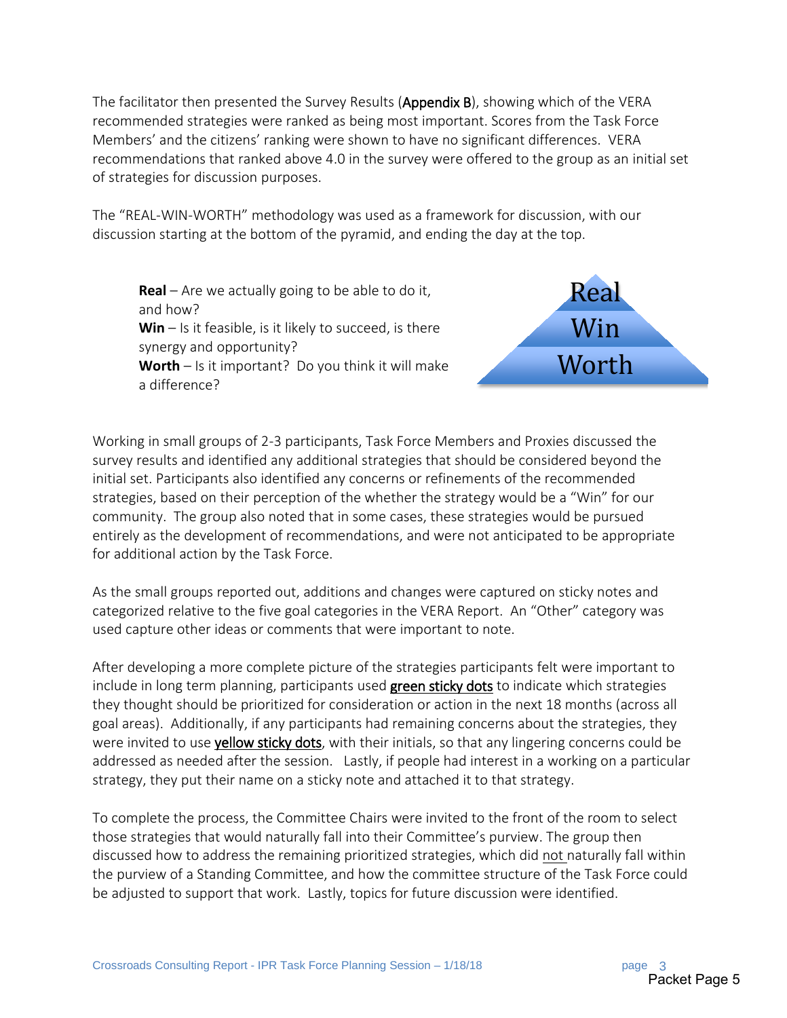The facilitator then presented the Survey Results (Appendix B), showing which of the VERA recommended strategies were ranked as being most important. Scores from the Task Force Members' and the citizens' ranking were shown to have no significant differences. VERA recommendations that ranked above 4.0 in the survey were offered to the group as an initial set of strategies for discussion purposes.

The "REAL-WIN-WORTH" methodology was used as a framework for discussion, with our discussion starting at the bottom of the pyramid, and ending the day at the top.

**Real** – Are we actually going to be able to do it, and how? **Win** – Is it feasible, is it likely to succeed, is there synergy and opportunity? **Worth** – Is it important? Do you think it will make a difference?



Working in small groups of 2-3 participants, Task Force Members and Proxies discussed the survey results and identified any additional strategies that should be considered beyond the initial set. Participants also identified any concerns or refinements of the recommended strategies, based on their perception of the whether the strategy would be a "Win" for our community. The group also noted that in some cases, these strategies would be pursued entirely as the development of recommendations, and were not anticipated to be appropriate for additional action by the Task Force.

As the small groups reported out, additions and changes were captured on sticky notes and categorized relative to the five goal categories in the VERA Report. An "Other" category was used capture other ideas or comments that were important to note.

After developing a more complete picture of the strategies participants felt were important to include in long term planning, participants used green sticky dots to indicate which strategies they thought should be prioritized for consideration or action in the next 18 months (across all goal areas). Additionally, if any participants had remaining concerns about the strategies, they were invited to use yellow sticky dots, with their initials, so that any lingering concerns could be addressed as needed after the session. Lastly, if people had interest in a working on a particular strategy, they put their name on a sticky note and attached it to that strategy.

To complete the process, the Committee Chairs were invited to the front of the room to select those strategies that would naturally fall into their Committee's purview. The group then discussed how to address the remaining prioritized strategies, which did not naturally fall within the purview of a Standing Committee, and how the committee structure of the Task Force could be adjusted to support that work. Lastly, topics for future discussion were identified.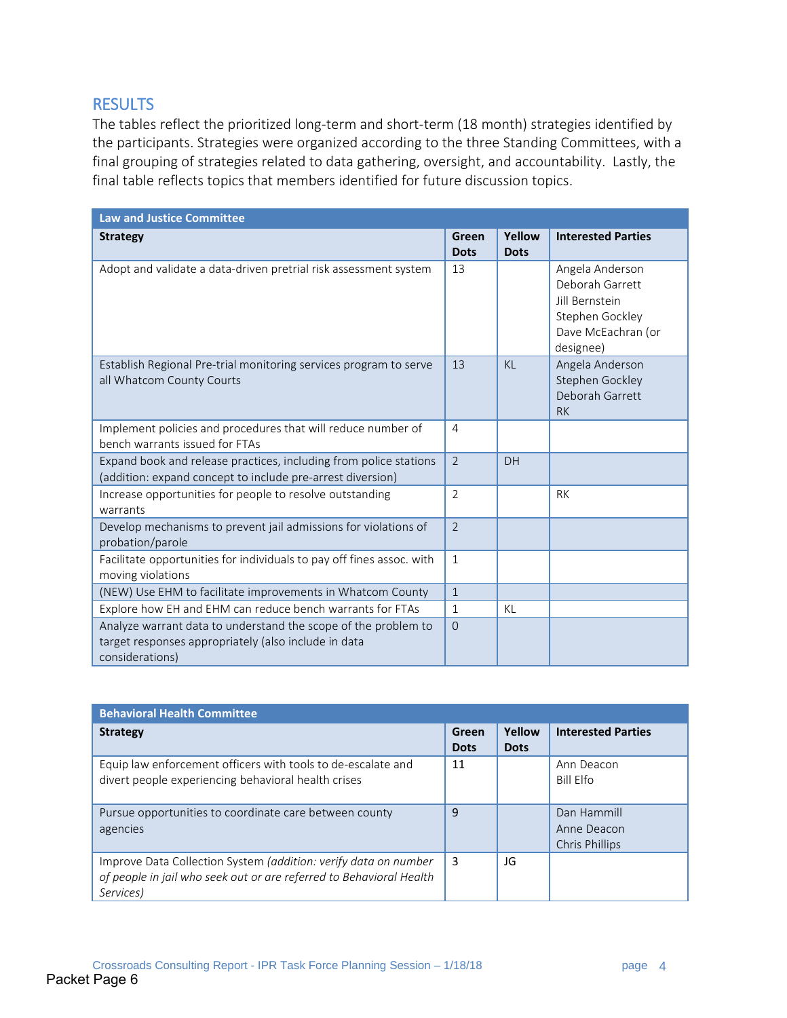## **RESULTS**

The tables reflect the prioritized long-term and short-term (18 month) strategies identified by the participants. Strategies were organized according to the three Standing Committees, with a final grouping of strategies related to data gathering, oversight, and accountability. Lastly, the final table reflects topics that members identified for future discussion topics.

| <b>Law and Justice Committee</b>                                                                                                          |                      |                       |                                                                                                                   |
|-------------------------------------------------------------------------------------------------------------------------------------------|----------------------|-----------------------|-------------------------------------------------------------------------------------------------------------------|
| <b>Strategy</b>                                                                                                                           | Green<br><b>Dots</b> | Yellow<br><b>Dots</b> | <b>Interested Parties</b>                                                                                         |
| Adopt and validate a data-driven pretrial risk assessment system                                                                          | 13                   |                       | Angela Anderson<br>Deborah Garrett<br><b>Iill Bernstein</b><br>Stephen Gockley<br>Dave McEachran (or<br>designee) |
| Establish Regional Pre-trial monitoring services program to serve<br>all Whatcom County Courts                                            | 13                   | K <sub>1</sub>        | Angela Anderson<br>Stephen Gockley<br>Deborah Garrett<br><b>RK</b>                                                |
| Implement policies and procedures that will reduce number of<br>bench warrants issued for FTAs                                            | $\overline{4}$       |                       |                                                                                                                   |
| Expand book and release practices, including from police stations<br>(addition: expand concept to include pre-arrest diversion)           | $\mathcal{L}$        | DH                    |                                                                                                                   |
| Increase opportunities for people to resolve outstanding<br>warrants                                                                      | $\overline{2}$       |                       | <b>RK</b>                                                                                                         |
| Develop mechanisms to prevent jail admissions for violations of<br>probation/parole                                                       | $\overline{2}$       |                       |                                                                                                                   |
| Facilitate opportunities for individuals to pay off fines assoc. with<br>moving violations                                                | $\mathbf{1}$         |                       |                                                                                                                   |
| (NEW) Use EHM to facilitate improvements in Whatcom County                                                                                | $\mathbf{1}$         |                       |                                                                                                                   |
| Explore how EH and EHM can reduce bench warrants for FTAs                                                                                 | $\mathbf{1}$         | KL                    |                                                                                                                   |
| Analyze warrant data to understand the scope of the problem to<br>target responses appropriately (also include in data<br>considerations) | $\mathbf 0$          |                       |                                                                                                                   |

| <b>Behavioral Health Committee</b>                                                                                                                  |                      |                       |                                              |  |
|-----------------------------------------------------------------------------------------------------------------------------------------------------|----------------------|-----------------------|----------------------------------------------|--|
| <b>Strategy</b>                                                                                                                                     | Green<br><b>Dots</b> | Yellow<br><b>Dots</b> | <b>Interested Parties</b>                    |  |
| Equip law enforcement officers with tools to de-escalate and<br>divert people experiencing behavioral health crises                                 | 11                   |                       | Ann Deacon<br>Bill Flfo                      |  |
| Pursue opportunities to coordinate care between county<br>agencies                                                                                  | 9                    |                       | Dan Hammill<br>Anne Deacon<br>Chris Phillips |  |
| Improve Data Collection System (addition: verify data on number<br>of people in jail who seek out or are referred to Behavioral Health<br>Services) | 3                    | JG                    |                                              |  |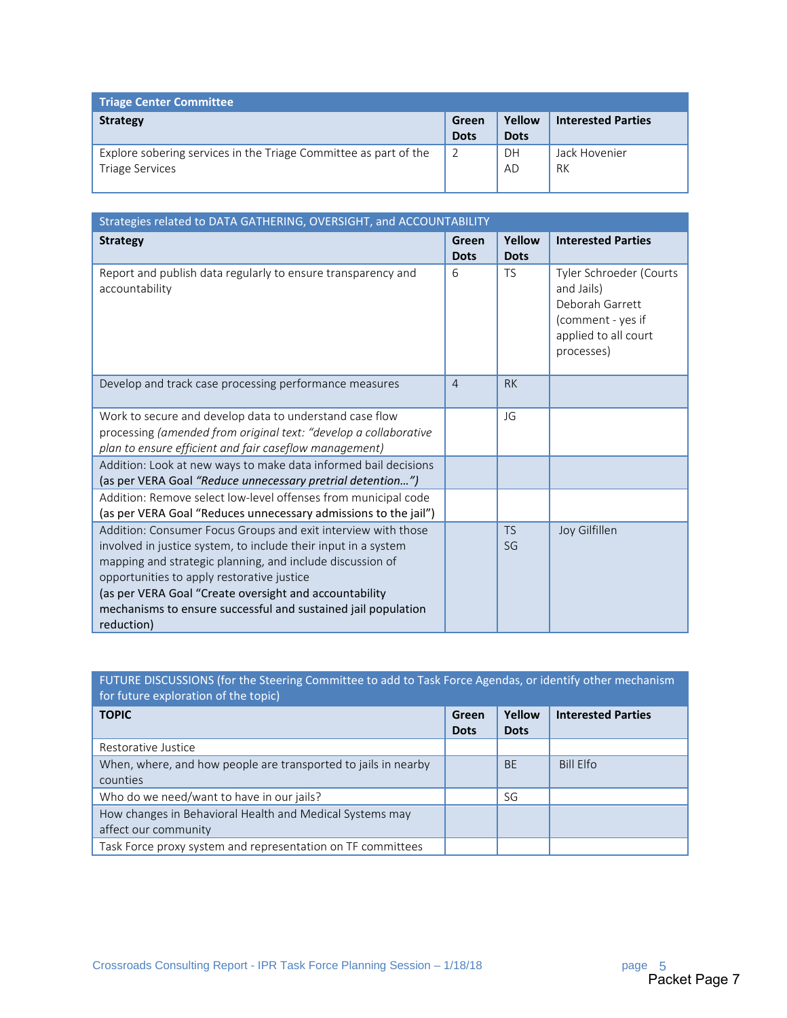| <b>Triage Center Committee</b>                                                             |                      |                       |                           |
|--------------------------------------------------------------------------------------------|----------------------|-----------------------|---------------------------|
| <b>Strategy</b>                                                                            | Green<br><b>Dots</b> | Yellow<br><b>Dots</b> | <b>Interested Parties</b> |
| Explore sobering services in the Triage Committee as part of the<br><b>Triage Services</b> | $\overline{2}$       | DH<br>AD              | Jack Hovenier<br>RK       |

| Strategies related to DATA GATHERING, OVERSIGHT, and ACCOUNTABILITY                                                                                                                                                                                                                                                                                                                 |                      |                       |                                                                                                                     |
|-------------------------------------------------------------------------------------------------------------------------------------------------------------------------------------------------------------------------------------------------------------------------------------------------------------------------------------------------------------------------------------|----------------------|-----------------------|---------------------------------------------------------------------------------------------------------------------|
| <b>Strategy</b>                                                                                                                                                                                                                                                                                                                                                                     | Green<br><b>Dots</b> | Yellow<br><b>Dots</b> | <b>Interested Parties</b>                                                                                           |
| Report and publish data regularly to ensure transparency and<br>accountability                                                                                                                                                                                                                                                                                                      | 6                    | <b>TS</b>             | Tyler Schroeder (Courts<br>and Jails)<br>Deborah Garrett<br>(comment - yes if<br>applied to all court<br>processes) |
| Develop and track case processing performance measures                                                                                                                                                                                                                                                                                                                              | $\overline{4}$       | <b>RK</b>             |                                                                                                                     |
| Work to secure and develop data to understand case flow<br>processing (amended from original text: "develop a collaborative<br>plan to ensure efficient and fair caseflow management)                                                                                                                                                                                               |                      | JG                    |                                                                                                                     |
| Addition: Look at new ways to make data informed bail decisions<br>(as per VERA Goal "Reduce unnecessary pretrial detention")                                                                                                                                                                                                                                                       |                      |                       |                                                                                                                     |
| Addition: Remove select low-level offenses from municipal code<br>(as per VERA Goal "Reduces unnecessary admissions to the jail")                                                                                                                                                                                                                                                   |                      |                       |                                                                                                                     |
| Addition: Consumer Focus Groups and exit interview with those<br>involved in justice system, to include their input in a system<br>mapping and strategic planning, and include discussion of<br>opportunities to apply restorative justice<br>(as per VERA Goal "Create oversight and accountability<br>mechanisms to ensure successful and sustained jail population<br>reduction) |                      | <b>TS</b><br>SG       | Joy Gilfillen                                                                                                       |

## FUTURE DISCUSSIONS (for the Steering Committee to add to Task Force Agendas, or identify other mechanism for future exploration of the topic)

| <b>TOPIC</b>                                                   | Green<br><b>Dots</b> | Yellow<br><b>Dots</b> | <b>Interested Parties</b> |
|----------------------------------------------------------------|----------------------|-----------------------|---------------------------|
| Restorative Justice                                            |                      |                       |                           |
| When, where, and how people are transported to jails in nearby |                      | <b>BE</b>             | Bill Elfo                 |
| counties                                                       |                      |                       |                           |
| Who do we need/want to have in our jails?                      |                      | SG                    |                           |
| How changes in Behavioral Health and Medical Systems may       |                      |                       |                           |
| affect our community                                           |                      |                       |                           |
| Task Force proxy system and representation on TF committees    |                      |                       |                           |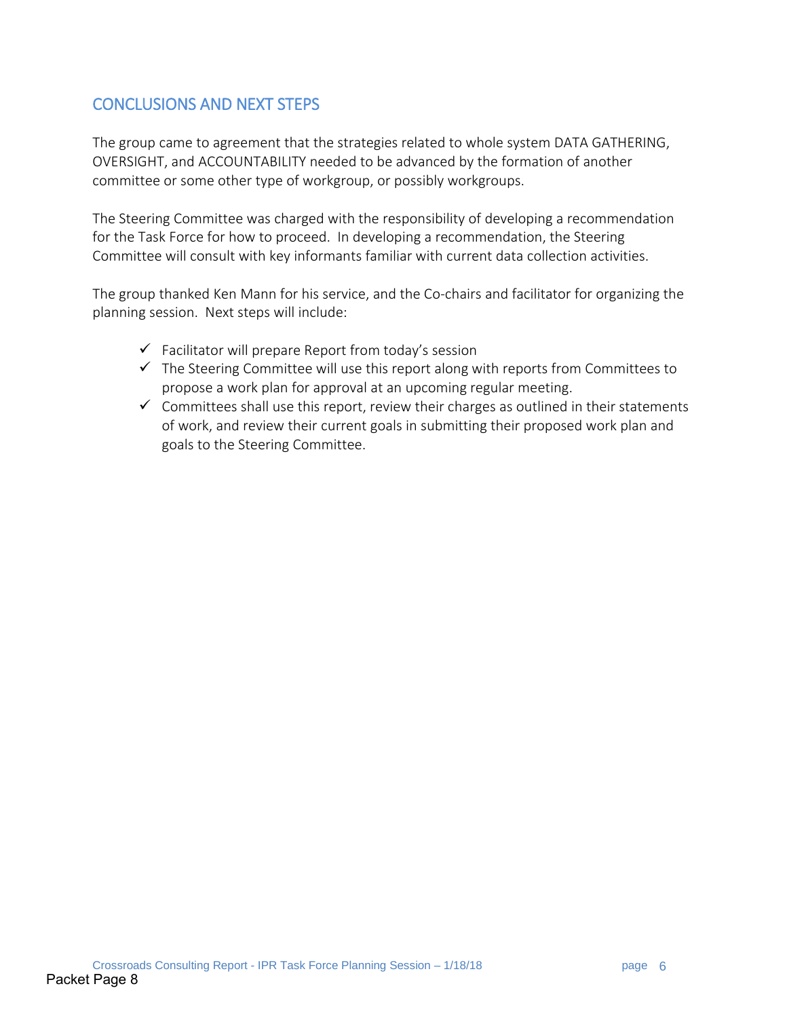## CONCLUSIONS AND NEXT STEPS

The group came to agreement that the strategies related to whole system DATA GATHERING, OVERSIGHT, and ACCOUNTABILITY needed to be advanced by the formation of another committee or some other type of workgroup, or possibly workgroups.

The Steering Committee was charged with the responsibility of developing a recommendation for the Task Force for how to proceed. In developing a recommendation, the Steering Committee will consult with key informants familiar with current data collection activities.

The group thanked Ken Mann for his service, and the Co-chairs and facilitator for organizing the planning session. Next steps will include:

- $\checkmark$  Facilitator will prepare Report from today's session
- $\checkmark$  The Steering Committee will use this report along with reports from Committees to propose a work plan for approval at an upcoming regular meeting.
- $\checkmark$  Committees shall use this report, review their charges as outlined in their statements of work, and review their current goals in submitting their proposed work plan and goals to the Steering Committee.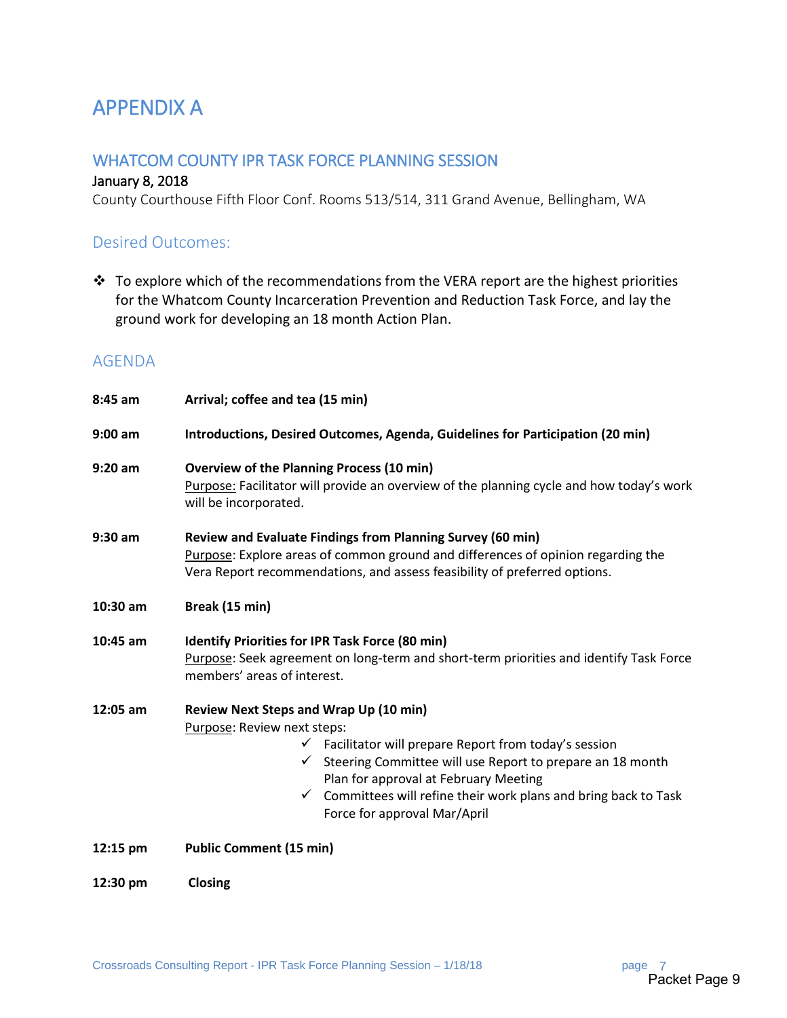## APPENDIX A

## WHATCOM COUNTY IPR TASK FORCE PLANNING SESSION

#### January 8, 2018

County Courthouse Fifth Floor Conf. Rooms 513/514, 311 Grand Avenue, Bellingham, WA

### Desired Outcomes:

 $\cdot \cdot$  To explore which of the recommendations from the VERA report are the highest priorities for the Whatcom County Incarceration Prevention and Reduction Task Force, and lay the ground work for developing an 18 month Action Plan.

## AGENDA

| 8:45 am   | Arrival; coffee and tea (15 min)                                                                                                                                                                                                                                                                                                                                                   |
|-----------|------------------------------------------------------------------------------------------------------------------------------------------------------------------------------------------------------------------------------------------------------------------------------------------------------------------------------------------------------------------------------------|
| $9:00$ am | Introductions, Desired Outcomes, Agenda, Guidelines for Participation (20 min)                                                                                                                                                                                                                                                                                                     |
| $9:20$ am | <b>Overview of the Planning Process (10 min)</b><br>Purpose: Facilitator will provide an overview of the planning cycle and how today's work<br>will be incorporated.                                                                                                                                                                                                              |
| 9:30 am   | Review and Evaluate Findings from Planning Survey (60 min)<br>Purpose: Explore areas of common ground and differences of opinion regarding the<br>Vera Report recommendations, and assess feasibility of preferred options.                                                                                                                                                        |
| 10:30 am  | Break (15 min)                                                                                                                                                                                                                                                                                                                                                                     |
| 10:45 am  | Identify Priorities for IPR Task Force (80 min)<br>Purpose: Seek agreement on long-term and short-term priorities and identify Task Force<br>members' areas of interest.                                                                                                                                                                                                           |
| 12:05 am  | Review Next Steps and Wrap Up (10 min)<br>Purpose: Review next steps:<br>$\checkmark$ Facilitator will prepare Report from today's session<br>Steering Committee will use Report to prepare an 18 month<br>$\checkmark$<br>Plan for approval at February Meeting<br>Committees will refine their work plans and bring back to Task<br>$\checkmark$<br>Force for approval Mar/April |
| 12:15 pm  | <b>Public Comment (15 min)</b>                                                                                                                                                                                                                                                                                                                                                     |
| 12:30 pm  | Closing                                                                                                                                                                                                                                                                                                                                                                            |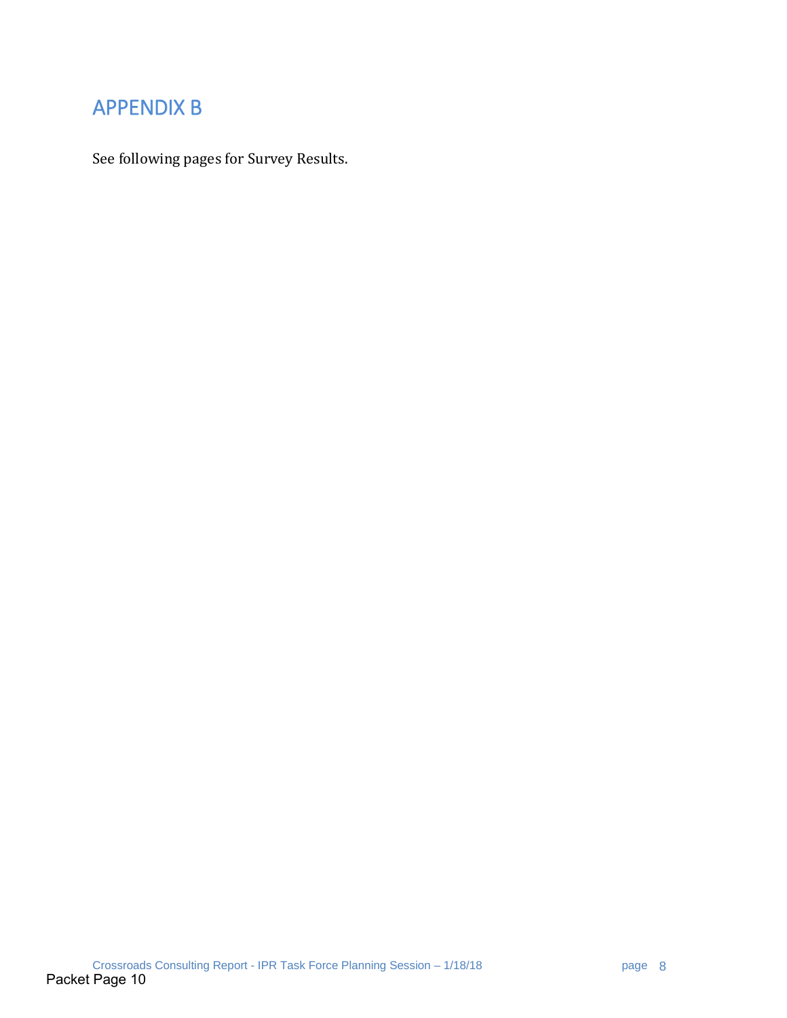## APPENDIX B

See following pages for Survey Results.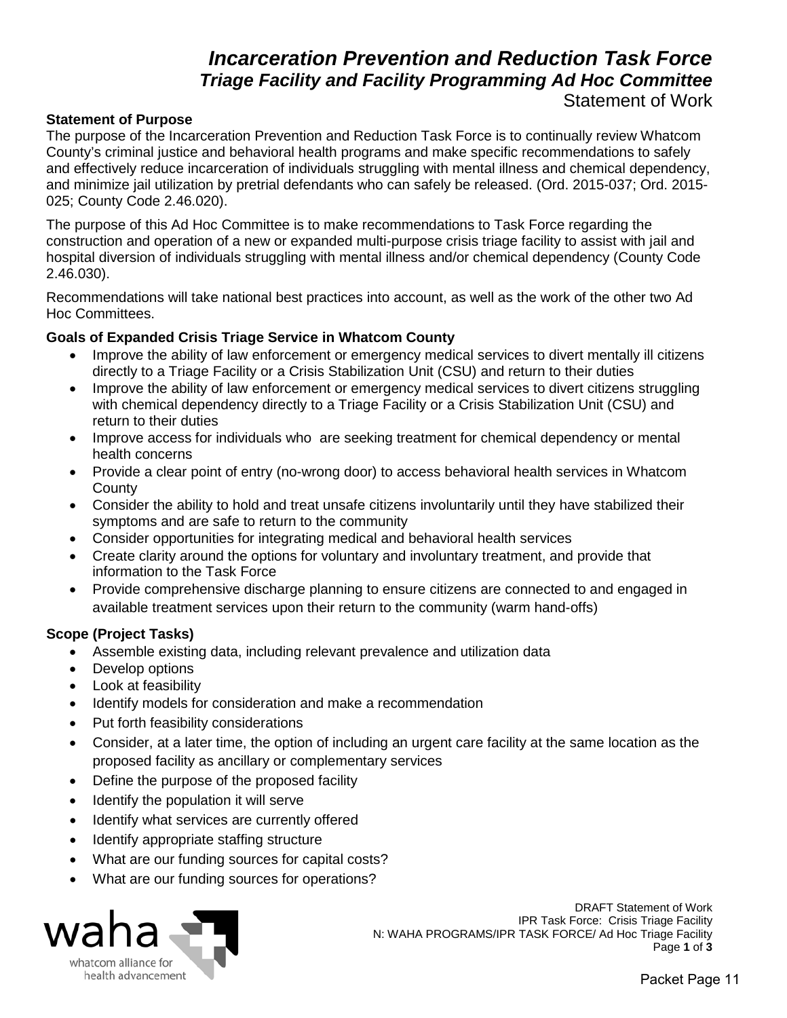## *Incarceration Prevention and Reduction Task Force Triage Facility and Facility Programming Ad Hoc Committee*  Statement of Work

#### **Statement of Purpose**

The purpose of the Incarceration Prevention and Reduction Task Force is to continually review Whatcom County's criminal justice and behavioral health programs and make specific recommendations to safely and effectively reduce incarceration of individuals struggling with mental illness and chemical dependency, and minimize jail utilization by pretrial defendants who can safely be released. (Ord. 2015-037; Ord. 2015- 025; County Code 2.46.020).

The purpose of this Ad Hoc Committee is to make recommendations to Task Force regarding the construction and operation of a new or expanded multi-purpose crisis triage facility to assist with jail and hospital diversion of individuals struggling with mental illness and/or chemical dependency (County Code 2.46.030).

Recommendations will take national best practices into account, as well as the work of the other two Ad Hoc Committees.

# **Goals of Expanded Crisis Triage Service in Whatcom County**<br>Improve the ability of law enforcement or emergency medic

- Improve the ability of law enforcement or emergency medical services to divert mentally ill citizens directly to a Triage Facility or a Crisis Stabilization Unit (CSU) and return to their duties
- Improve the ability of law enforcement or emergency medical services to divert citizens struggling with chemical dependency directly to a Triage Facility or a Crisis Stabilization Unit (CSU) and return to their duties
- Improve access for individuals who are seeking treatment for chemical dependency or mental health concerns
- Provide a clear point of entry (no-wrong door) to access behavioral health services in Whatcom **County**
- Consider the ability to hold and treat unsafe citizens involuntarily until they have stabilized their symptoms and are safe to return to the community
- Consider opportunities for integrating medical and behavioral health services
- Create clarity around the options for voluntary and involuntary treatment, and provide that information to the Task Force
- Provide comprehensive discharge planning to ensure citizens are connected to and engaged in available treatment services upon their return to the community (warm hand-offs)

#### **Scope (Project Tasks)**

- Assemble existing data, including relevant prevalence and utilization data
- Develop options
- Look at feasibility
- Identify models for consideration and make a recommendation
- Put forth feasibility considerations
- Consider, at a later time, the option of including an urgent care facility at the same location as the proposed facility as ancillary or complementary services
- Define the purpose of the proposed facility
- Identify the population it will serve
- Identify what services are currently offered
- Identify appropriate staffing structure
- What are our funding sources for capital costs?
- What are our funding sources for operations?



DRAFT Statement of Work IPR Task Force: Crisis Triage Facility N: WAHA PROGRAMS/IPR TASK FORCE/ Ad Hoc Triage Facility<br>Page 1 of 3 **Page 1** of 3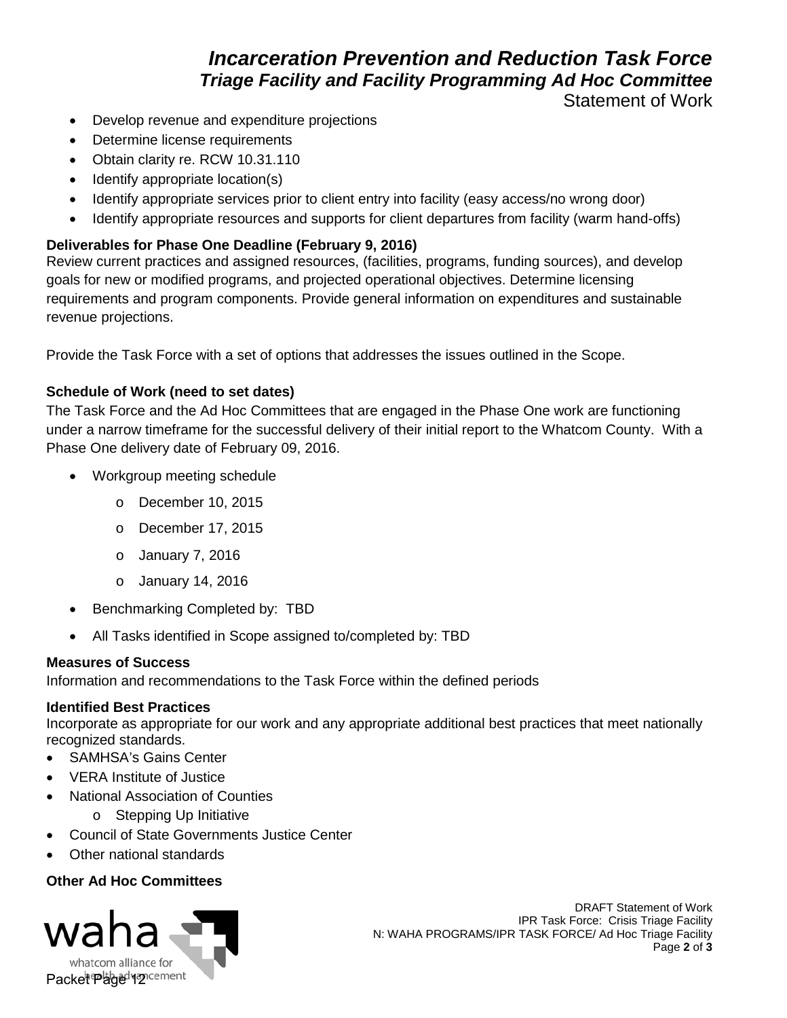## *Incarceration Prevention and Reduction Task Force Triage Facility and Facility Programming Ad Hoc Committee*

Statement of Work

- Develop revenue and expenditure projections
- Determine license requirements
- Obtain clarity re. RCW 10.31.110
- Identify appropriate location(s)
- Identify appropriate services prior to client entry into facility (easy access/no wrong door)
- Identify appropriate resources and supports for client departures from facility (warm hand-offs)

### **Deliverables for Phase One Deadline (February 9, 2016)**

Review current practices and assigned resources, (facilities, programs, funding sources), and develop goals for new or modified programs, and projected operational objectives. Determine licensing requirements and program components. Provide general information on expenditures and sustainable revenue projections.

Provide the Task Force with a set of options that addresses the issues outlined in the Scope.

### **Schedule of Work (need to set dates)**

The Task Force and the Ad Hoc Committees that are engaged in the Phase One work are functioning under a narrow timeframe for the successful delivery of their initial report to the Whatcom County. With a Phase One delivery date of February 09, 2016.

- Workgroup meeting schedule
	- o December 10, 2015
	- o December 17, 2015
	- o January 7, 2016
	- o January 14, 2016
- Benchmarking Completed by: TBD
- All Tasks identified in Scope assigned to/completed by: TBD

### **Measures of Success**

Information and recommendations to the Task Force within the defined periods

#### **Identified Best Practices**

Incorporate as appropriate for our work and any appropriate additional best practices that meet nationally recognized standards.

- SAMHSA's Gains Center
- VERA Institute of Justice
- National Association of Counties
	- o Stepping Up Initiative
- Council of State Governments Justice Center
- Other national standards

### **Other Ad Hoc Committees**



DRAFT Statement of Work IPR Task Force: Crisis Triage Facility N: WAHA PROGRAMS/IPR TASK FORCE/ Ad Hoc Triage Facility<br>Page 2 of 3  $\bullet$  **3**  $\bullet$  **3**  $\bullet$  **3**  $\bullet$  **3**  $\bullet$  **3**  $\bullet$  **3**  $\bullet$  **3**  $\bullet$  **3**  $\bullet$  **3**  $\bullet$  **3**  $\bullet$  **3**  $\bullet$  **3**  $\bullet$  **3**  $\bullet$  **3**  $\bullet$  **3**  $\bullet$  **3**  $\bullet$  **3**  $\bullet$  **3**  $\bullet$  **3**  $\bullet$  **3**  $\bullet$  **3**  $\bullet$  **3**  $\bullet$  **3**  $\bullet$  **3**  $\bullet$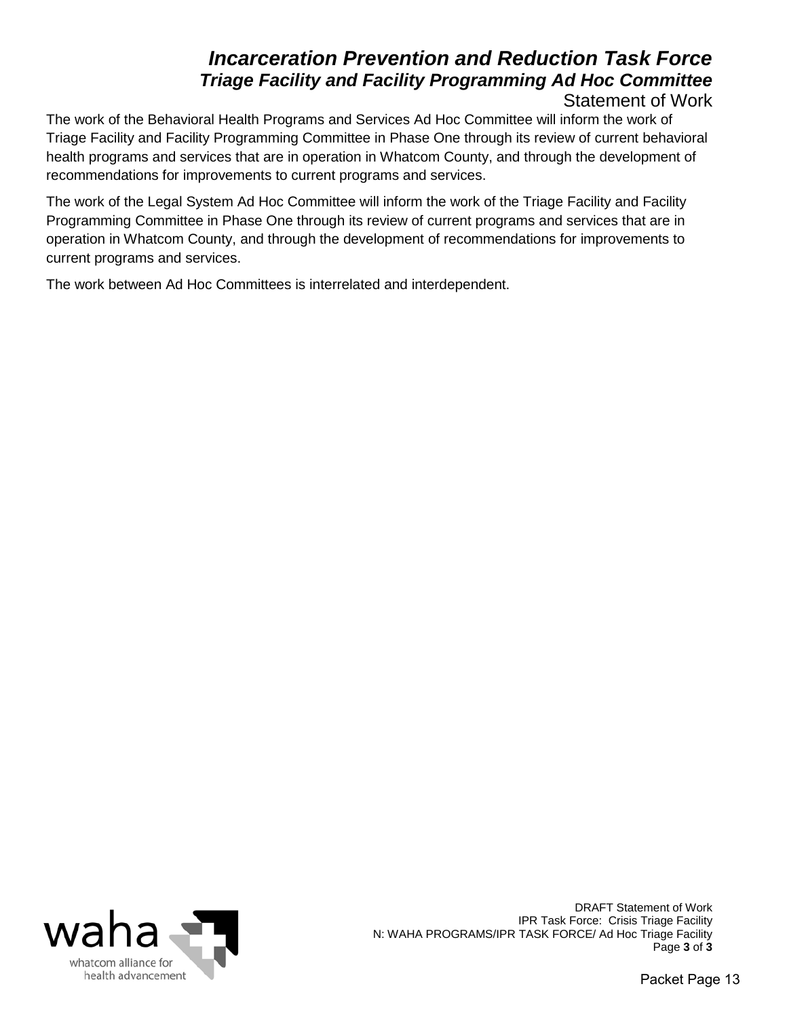## *Incarceration Prevention and Reduction Task Force Triage Facility and Facility Programming Ad Hoc Committee*

## Statement of Work

The work of the Behavioral Health Programs and Services Ad Hoc Committee will inform the work of Triage Facility and Facility Programming Committee in Phase One through its review of current behavioral health programs and services that are in operation in Whatcom County, and through the development of recommendations for improvements to current programs and services.

The work of the Legal System Ad Hoc Committee will inform the work of the Triage Facility and Facility Programming Committee in Phase One through its review of current programs and services that are in operation in Whatcom County, and through the development of recommendations for improvements to current programs and services.

The work between Ad Hoc Committees is interrelated and interdependent.



DRAFT Statement of Work IPR Task Force: Crisis Triage Facility N: WAHA PROGRAMS/IPR TASK FORCE/ Ad Hoc Triage Facility<br>Page 3 of 3 **Page 3** of 3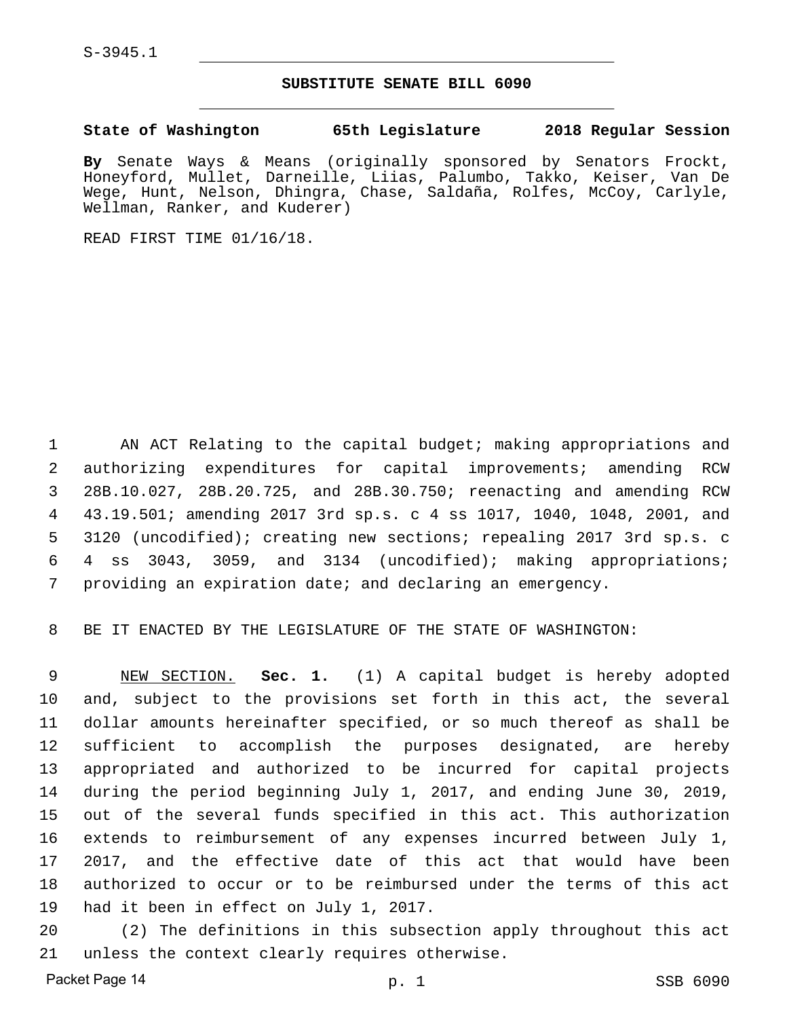S-3945.1

#### **SUBSTITUTE SENATE BILL 6090**

**State of Washington 65th Legislature 2018 Regular Session**

**By** Senate Ways & Means (originally sponsored by Senators Frockt, Honeyford, Mullet, Darneille, Liias, Palumbo, Takko, Keiser, Van De Wege, Hunt, Nelson, Dhingra, Chase, Saldaña, Rolfes, McCoy, Carlyle, Wellman, Ranker, and Kuderer)

READ FIRST TIME 01/16/18.

 AN ACT Relating to the capital budget; making appropriations and authorizing expenditures for capital improvements; amending RCW 28B.10.027, 28B.20.725, and 28B.30.750; reenacting and amending RCW 43.19.501; amending 2017 3rd sp.s. c 4 ss 1017, 1040, 1048, 2001, and 3120 (uncodified); creating new sections; repealing 2017 3rd sp.s. c 4 ss 3043, 3059, and 3134 (uncodified); making appropriations; providing an expiration date; and declaring an emergency.

BE IT ENACTED BY THE LEGISLATURE OF THE STATE OF WASHINGTON:

 NEW SECTION. **Sec. 1.** (1) A capital budget is hereby adopted and, subject to the provisions set forth in this act, the several dollar amounts hereinafter specified, or so much thereof as shall be sufficient to accomplish the purposes designated, are hereby appropriated and authorized to be incurred for capital projects during the period beginning July 1, 2017, and ending June 30, 2019, out of the several funds specified in this act. This authorization extends to reimbursement of any expenses incurred between July 1, 2017, and the effective date of this act that would have been authorized to occur or to be reimbursed under the terms of this act had it been in effect on July 1, 2017.

 (2) The definitions in this subsection apply throughout this act unless the context clearly requires otherwise.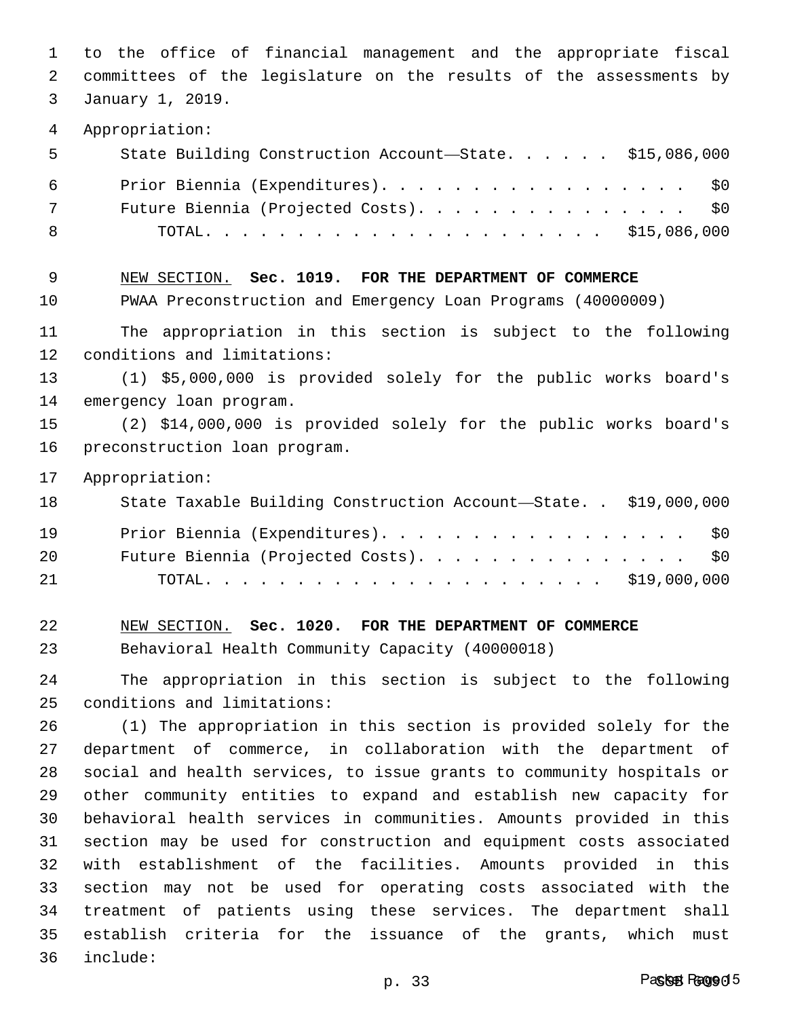to the office of financial management and the appropriate fiscal committees of the legislature on the results of the assessments by January 1, 2019. Appropriation: State Building Construction Account—State. . . . . . \$15,086,000 Prior Biennia (Expenditures). . . . . . . . . . . . . . . . . \$0 Future Biennia (Projected Costs). . . . . . . . . . . . . . . \$0 TOTAL. . . . . . . . . . . . . . . . . . . . . . \$15,086,000 NEW SECTION. **Sec. 1019. FOR THE DEPARTMENT OF COMMERCE** PWAA Preconstruction and Emergency Loan Programs (40000009) The appropriation in this section is subject to the following conditions and limitations: (1) \$5,000,000 is provided solely for the public works board's emergency loan program. (2) \$14,000,000 is provided solely for the public works board's preconstruction loan program. Appropriation: State Taxable Building Construction Account—State. . \$19,000,000 Prior Biennia (Expenditures). . . . . . . . . . . . . . . . . \$0 Future Biennia (Projected Costs). . . . . . . . . . . . . . . \$0 TOTAL. . . . . . . . . . . . . . . . . . . . . . \$19,000,000 NEW SECTION. **Sec. 1020. FOR THE DEPARTMENT OF COMMERCE** Behavioral Health Community Capacity (40000018) The appropriation in this section is subject to the following conditions and limitations: (1) The appropriation in this section is provided solely for the department of commerce, in collaboration with the department of social and health services, to issue grants to community hospitals or other community entities to expand and establish new capacity for behavioral health services in communities. Amounts provided in this section may be used for construction and equipment costs associated with establishment of the facilities. Amounts provided in this section may not be used for operating costs associated with the treatment of patients using these services. The department shall establish criteria for the issuance of the grants, which must include: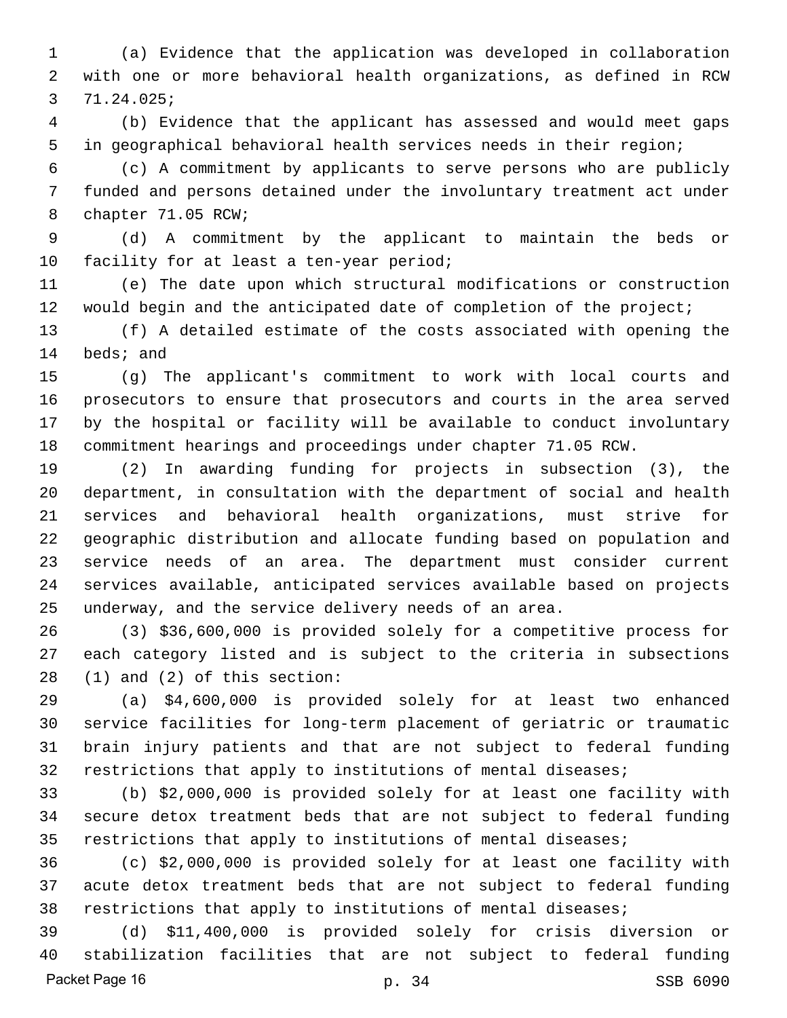(a) Evidence that the application was developed in collaboration with one or more behavioral health organizations, as defined in RCW 71.24.025;

 (b) Evidence that the applicant has assessed and would meet gaps in geographical behavioral health services needs in their region;

 (c) A commitment by applicants to serve persons who are publicly funded and persons detained under the involuntary treatment act under chapter 71.05 RCW;

 (d) A commitment by the applicant to maintain the beds or 10 facility for at least a ten-year period;

 (e) The date upon which structural modifications or construction would begin and the anticipated date of completion of the project;

 (f) A detailed estimate of the costs associated with opening the beds; and

 (g) The applicant's commitment to work with local courts and prosecutors to ensure that prosecutors and courts in the area served by the hospital or facility will be available to conduct involuntary commitment hearings and proceedings under chapter 71.05 RCW.

 (2) In awarding funding for projects in subsection (3), the department, in consultation with the department of social and health services and behavioral health organizations, must strive for geographic distribution and allocate funding based on population and service needs of an area. The department must consider current services available, anticipated services available based on projects underway, and the service delivery needs of an area.

 (3) \$36,600,000 is provided solely for a competitive process for each category listed and is subject to the criteria in subsections (1) and (2) of this section:

 (a) \$4,600,000 is provided solely for at least two enhanced service facilities for long-term placement of geriatric or traumatic brain injury patients and that are not subject to federal funding restrictions that apply to institutions of mental diseases;

 (b) \$2,000,000 is provided solely for at least one facility with secure detox treatment beds that are not subject to federal funding restrictions that apply to institutions of mental diseases;

 (c) \$2,000,000 is provided solely for at least one facility with acute detox treatment beds that are not subject to federal funding restrictions that apply to institutions of mental diseases;

 (d) \$11,400,000 is provided solely for crisis diversion or stabilization facilities that are not subject to federal funding Packet Page 16 p. 34 SSB 6090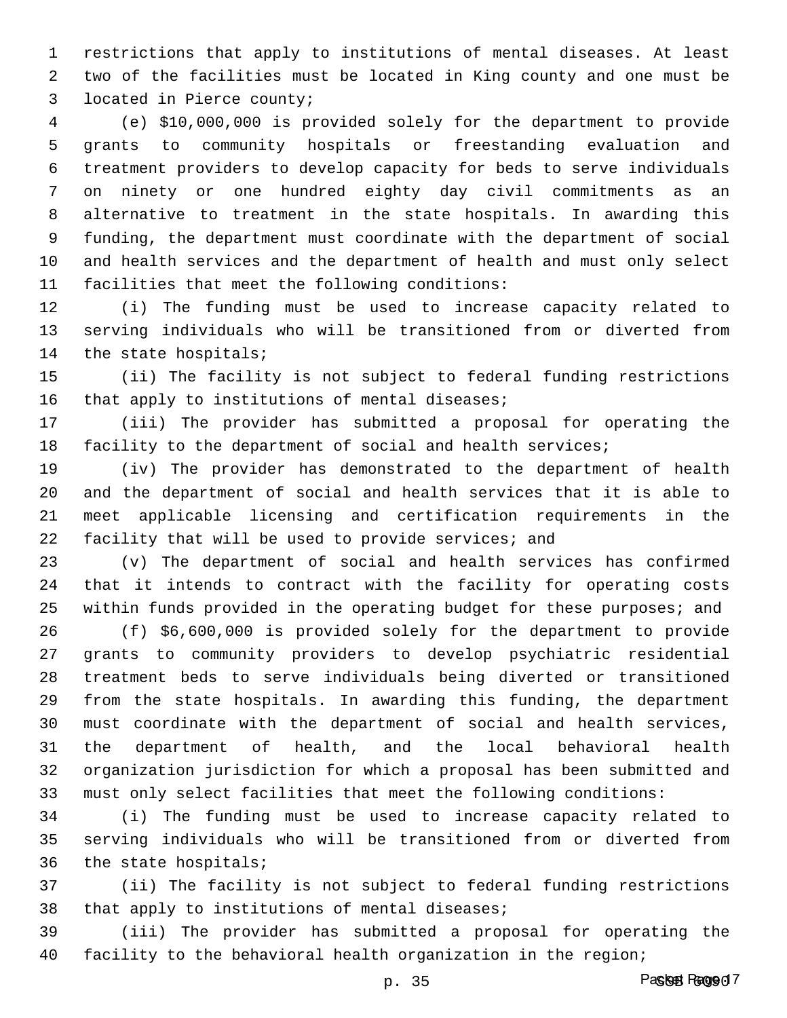restrictions that apply to institutions of mental diseases. At least two of the facilities must be located in King county and one must be located in Pierce county;

 (e) \$10,000,000 is provided solely for the department to provide grants to community hospitals or freestanding evaluation and treatment providers to develop capacity for beds to serve individuals on ninety or one hundred eighty day civil commitments as an alternative to treatment in the state hospitals. In awarding this funding, the department must coordinate with the department of social and health services and the department of health and must only select facilities that meet the following conditions:

 (i) The funding must be used to increase capacity related to serving individuals who will be transitioned from or diverted from the state hospitals;

 (ii) The facility is not subject to federal funding restrictions 16 that apply to institutions of mental diseases;

 (iii) The provider has submitted a proposal for operating the facility to the department of social and health services;

 (iv) The provider has demonstrated to the department of health and the department of social and health services that it is able to meet applicable licensing and certification requirements in the facility that will be used to provide services; and

 (v) The department of social and health services has confirmed that it intends to contract with the facility for operating costs within funds provided in the operating budget for these purposes; and

 (f) \$6,600,000 is provided solely for the department to provide grants to community providers to develop psychiatric residential treatment beds to serve individuals being diverted or transitioned from the state hospitals. In awarding this funding, the department must coordinate with the department of social and health services, the department of health, and the local behavioral health organization jurisdiction for which a proposal has been submitted and must only select facilities that meet the following conditions:

 (i) The funding must be used to increase capacity related to serving individuals who will be transitioned from or diverted from the state hospitals;

 (ii) The facility is not subject to federal funding restrictions that apply to institutions of mental diseases;

 (iii) The provider has submitted a proposal for operating the facility to the behavioral health organization in the region;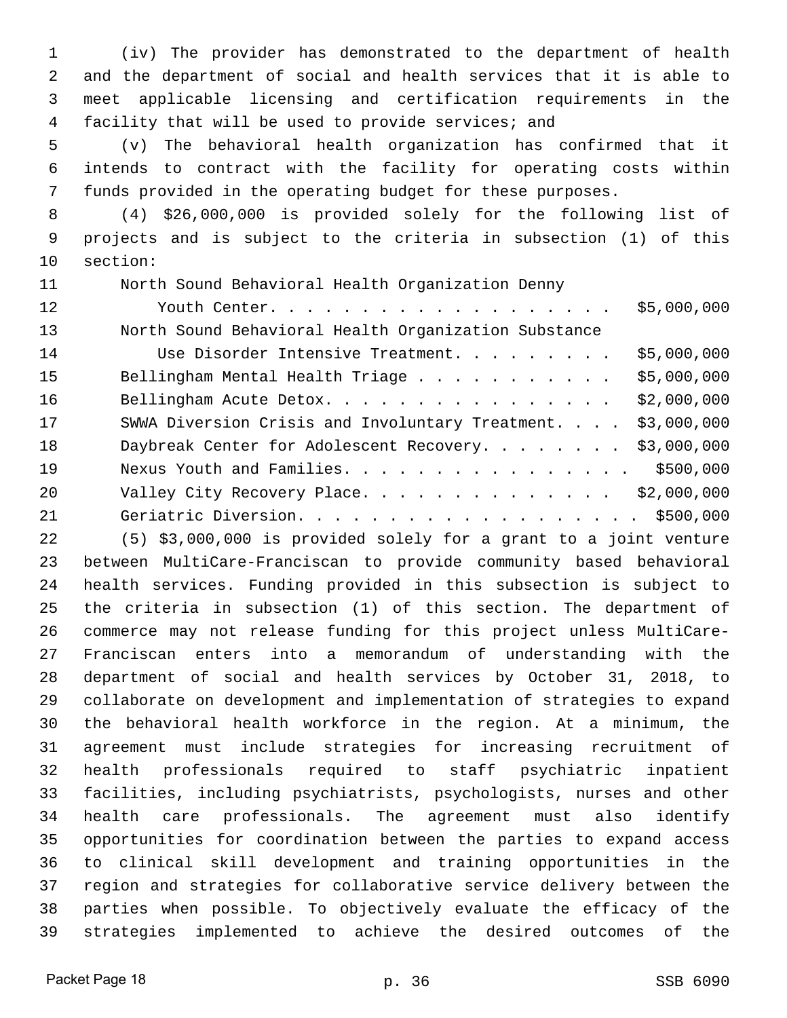(iv) The provider has demonstrated to the department of health and the department of social and health services that it is able to meet applicable licensing and certification requirements in the facility that will be used to provide services; and

 (v) The behavioral health organization has confirmed that it intends to contract with the facility for operating costs within funds provided in the operating budget for these purposes.

 (4) \$26,000,000 is provided solely for the following list of projects and is subject to the criteria in subsection (1) of this section:

North Sound Behavioral Health Organization Denny

| 12 | Youth Center.                                        | \$5,000,000 |
|----|------------------------------------------------------|-------------|
| 13 | North Sound Behavioral Health Organization Substance |             |
| 14 | Use Disorder Intensive Treatment.                    | \$5,000,000 |
| 15 | Bellingham Mental Health Triage                      | \$5,000,000 |
| 16 | Bellingham Acute Detox.                              | \$2,000,000 |
| 17 | SWWA Diversion Crisis and Involuntary Treatment.     | \$3,000,000 |
| 18 | Daybreak Center for Adolescent Recovery.             | \$3,000,000 |
| 19 | Nexus Youth and Families.                            | \$500,000   |
| 20 | Valley City Recovery Place.                          | \$2,000,000 |
| 21 | Geriatric Diversion. \$500,000                       |             |
|    |                                                      |             |

 (5) \$3,000,000 is provided solely for a grant to a joint venture between MultiCare-Franciscan to provide community based behavioral health services. Funding provided in this subsection is subject to the criteria in subsection (1) of this section. The department of commerce may not release funding for this project unless MultiCare- Franciscan enters into a memorandum of understanding with the department of social and health services by October 31, 2018, to collaborate on development and implementation of strategies to expand the behavioral health workforce in the region. At a minimum, the agreement must include strategies for increasing recruitment of health professionals required to staff psychiatric inpatient facilities, including psychiatrists, psychologists, nurses and other health care professionals. The agreement must also identify opportunities for coordination between the parties to expand access to clinical skill development and training opportunities in the region and strategies for collaborative service delivery between the parties when possible. To objectively evaluate the efficacy of the strategies implemented to achieve the desired outcomes of the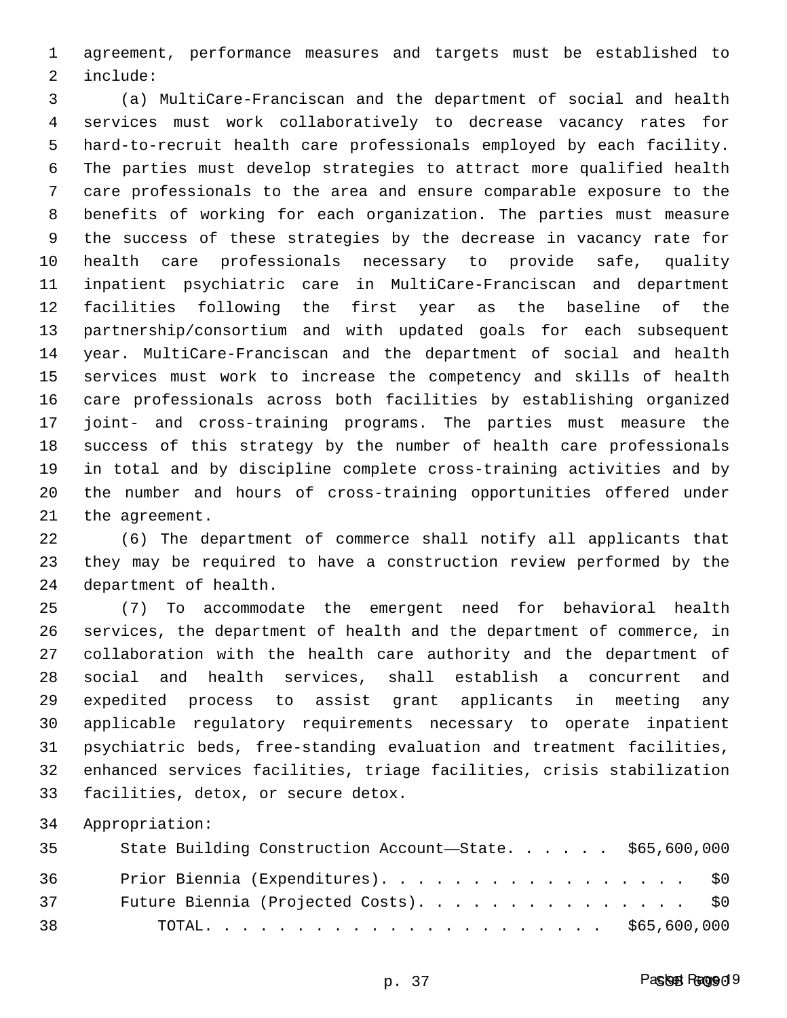agreement, performance measures and targets must be established to include:

 (a) MultiCare-Franciscan and the department of social and health services must work collaboratively to decrease vacancy rates for hard-to-recruit health care professionals employed by each facility. The parties must develop strategies to attract more qualified health care professionals to the area and ensure comparable exposure to the benefits of working for each organization. The parties must measure the success of these strategies by the decrease in vacancy rate for health care professionals necessary to provide safe, quality inpatient psychiatric care in MultiCare-Franciscan and department facilities following the first year as the baseline of the partnership/consortium and with updated goals for each subsequent year. MultiCare-Franciscan and the department of social and health services must work to increase the competency and skills of health care professionals across both facilities by establishing organized joint- and cross-training programs. The parties must measure the success of this strategy by the number of health care professionals in total and by discipline complete cross-training activities and by the number and hours of cross-training opportunities offered under the agreement.

 (6) The department of commerce shall notify all applicants that they may be required to have a construction review performed by the department of health.

 (7) To accommodate the emergent need for behavioral health services, the department of health and the department of commerce, in collaboration with the health care authority and the department of social and health services, shall establish a concurrent and expedited process to assist grant applicants in meeting any applicable regulatory requirements necessary to operate inpatient psychiatric beds, free-standing evaluation and treatment facilities, enhanced services facilities, triage facilities, crisis stabilization facilities, detox, or secure detox.

Appropriation:

| 35 | State Building Construction Account-State. \$65,600,000 |  |
|----|---------------------------------------------------------|--|
| 36 | Prior Biennia (Expenditures). \$0                       |  |
| 37 | Future Biennia (Projected Costs). \$0                   |  |
| 38 |                                                         |  |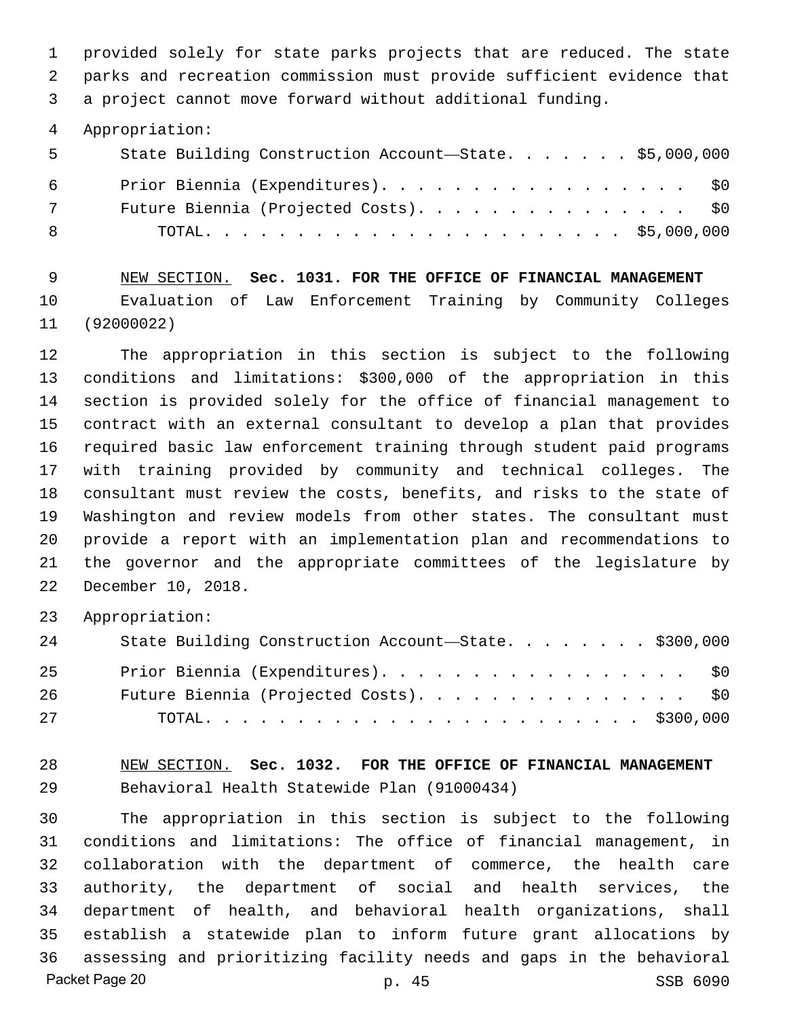provided solely for state parks projects that are reduced. The state parks and recreation commission must provide sufficient evidence that a project cannot move forward without additional funding.

Appropriation:

| 5 <sup>7</sup> | State Building Construction Account-State. \$5,000,000 |  |
|----------------|--------------------------------------------------------|--|
| 6 —            | Prior Biennia (Expenditures). \$0                      |  |
| 7              | Future Biennia (Projected Costs). \$0                  |  |
| - 8            |                                                        |  |

 NEW SECTION. **Sec. 1031. FOR THE OFFICE OF FINANCIAL MANAGEMENT** Evaluation of Law Enforcement Training by Community Colleges (92000022)

 The appropriation in this section is subject to the following conditions and limitations: \$300,000 of the appropriation in this section is provided solely for the office of financial management to contract with an external consultant to develop a plan that provides required basic law enforcement training through student paid programs with training provided by community and technical colleges. The consultant must review the costs, benefits, and risks to the state of Washington and review models from other states. The consultant must provide a report with an implementation plan and recommendations to the governor and the appropriate committees of the legislature by December 10, 2018.

Appropriation:

| 24 | State Building Construction Account-State. \$300,000 |
|----|------------------------------------------------------|
| 25 | Prior Biennia (Expenditures). \$0                    |
| 26 | Future Biennia (Projected Costs). \$0                |
| 27 |                                                      |

 NEW SECTION. **Sec. 1032. FOR THE OFFICE OF FINANCIAL MANAGEMENT** Behavioral Health Statewide Plan (91000434)

 The appropriation in this section is subject to the following conditions and limitations: The office of financial management, in collaboration with the department of commerce, the health care authority, the department of social and health services, the department of health, and behavioral health organizations, shall establish a statewide plan to inform future grant allocations by assessing and prioritizing facility needs and gaps in the behavioral Packet Page 20 p. 45 SSB 6090